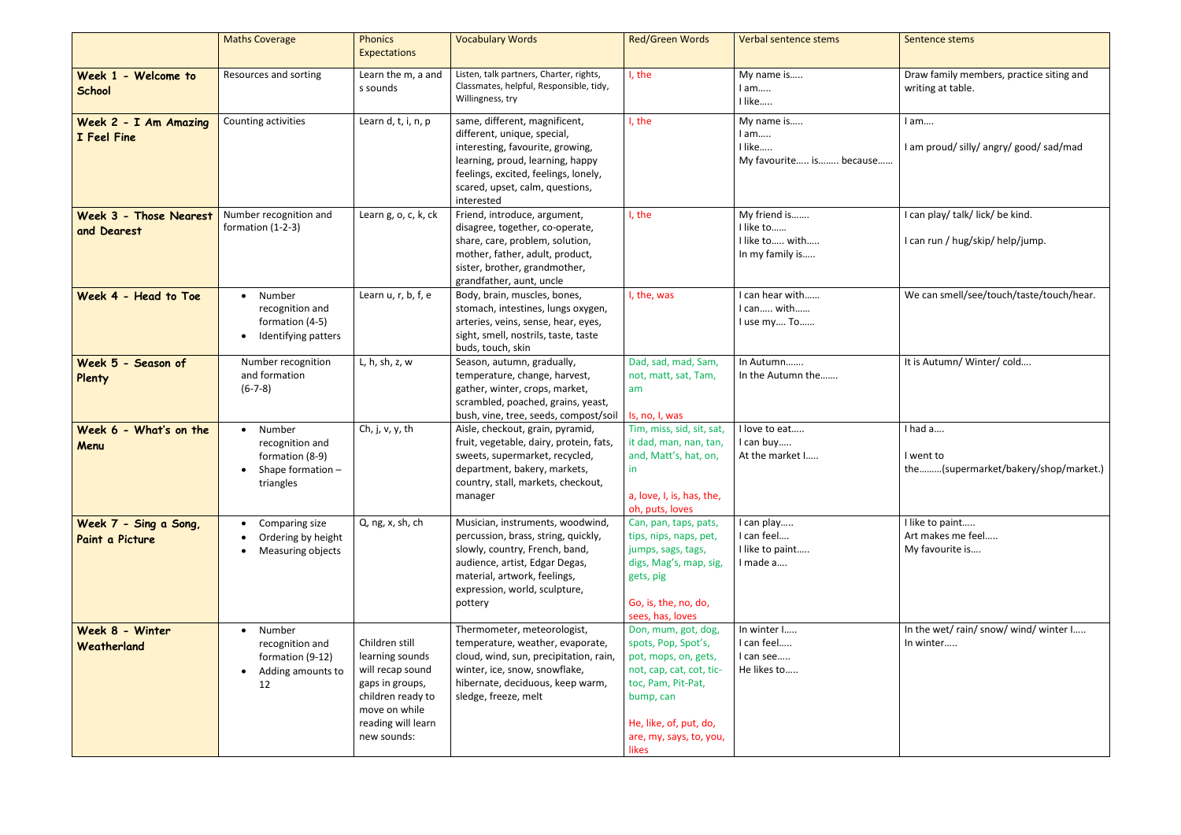|                                          | <b>Maths Coverage</b>                                                            | <b>Phonics</b><br>Expectations                                                                                                                      | <b>Vocabulary Words</b>                                                                                                                                                                                                       | <b>Red/Green Words</b>                                                                                                                                                                          | Verbal sentence stems                                          | Sentence stems                                                       |
|------------------------------------------|----------------------------------------------------------------------------------|-----------------------------------------------------------------------------------------------------------------------------------------------------|-------------------------------------------------------------------------------------------------------------------------------------------------------------------------------------------------------------------------------|-------------------------------------------------------------------------------------------------------------------------------------------------------------------------------------------------|----------------------------------------------------------------|----------------------------------------------------------------------|
| Week 1 - Welcome to<br><b>School</b>     | Resources and sorting                                                            | Learn the m, a and<br>s sounds                                                                                                                      | Listen, talk partners, Charter, rights,<br>Classmates, helpful, Responsible, tidy,<br>Willingness, try                                                                                                                        | I, the                                                                                                                                                                                          | My name is<br>I am<br>I like                                   | Draw family members, practice siting and<br>writing at table.        |
| Week 2 - I Am Amazing<br>I Feel Fine     | Counting activities                                                              | Learn d, t, i, n, p                                                                                                                                 | same, different, magnificent,<br>different, unique, special,<br>interesting, favourite, growing,<br>learning, proud, learning, happy<br>feelings, excited, feelings, lonely,<br>scared, upset, calm, questions,<br>interested | I, the                                                                                                                                                                                          | My name is<br>I am<br>I like<br>My favourite is because        | I am<br>I am proud/silly/angry/good/sad/mad                          |
| Week 3 - Those Nearest<br>and Dearest    | Number recognition and<br>formation (1-2-3)                                      | Learn g, o, c, k, ck                                                                                                                                | Friend, introduce, argument,<br>disagree, together, co-operate,<br>share, care, problem, solution,<br>mother, father, adult, product,<br>sister, brother, grandmother,<br>grandfather, aunt, uncle                            | I, the                                                                                                                                                                                          | My friend is<br>I like to<br>I like to with<br>In my family is | I can play/ talk/ lick/ be kind.<br>I can run / hug/skip/ help/jump. |
| Week 4 - Head to Toe                     | Number<br>recognition and<br>formation (4-5)<br>Identifying patters              | Learn $u, r, b, f, e$                                                                                                                               | Body, brain, muscles, bones,<br>stomach, intestines, lungs oxygen,<br>arteries, veins, sense, hear, eyes,<br>sight, smell, nostrils, taste, taste<br>buds, touch, skin                                                        | I, the, was                                                                                                                                                                                     | I can hear with<br>I can with<br>I use my To                   | We can smell/see/touch/taste/touch/hear.                             |
| Week 5 - Season of<br>Plenty             | Number recognition<br>and formation<br>$(6-7-8)$                                 | L, h, sh, z, w                                                                                                                                      | Season, autumn, gradually,<br>temperature, change, harvest,<br>gather, winter, crops, market,<br>scrambled, poached, grains, yeast,<br>bush, vine, tree, seeds, compost/soil                                                  | Dad, sad, mad, Sam,<br>not, matt, sat, Tam,<br>am<br>Is, no, I, was                                                                                                                             | In Autumn<br>In the Autumn the                                 | It is Autumn/Winter/cold                                             |
| Week 6 - What's on the<br>Menu           | Number<br>recognition and<br>formation (8-9)<br>Shape formation $-$<br>triangles | Ch, j, $v$ , $y$ , th                                                                                                                               | Aisle, checkout, grain, pyramid,<br>fruit, vegetable, dairy, protein, fats,<br>sweets, supermarket, recycled,<br>department, bakery, markets,<br>country, stall, markets, checkout,<br>manager                                | Tim, miss, sid, sit, sat,<br>it dad, man, nan, tan,<br>and, Matt's, hat, on,<br>in<br>a, love, I, is, has, the,<br>oh, puts, loves                                                              | I love to eat<br>I can buy<br>At the market I                  | I had a<br>I went to<br>the(supermarket/bakery/shop/marke            |
| Week 7 - Sing a Song,<br>Paint a Picture | Comparing size<br>Ordering by height<br>Measuring objects                        | Q, ng, x, sh, ch                                                                                                                                    | Musician, instruments, woodwind,<br>percussion, brass, string, quickly,<br>slowly, country, French, band,<br>audience, artist, Edgar Degas,<br>material, artwork, feelings,<br>expression, world, sculpture,<br>pottery       | Can, pan, taps, pats,<br>tips, nips, naps, pet,<br>jumps, sags, tags,<br>digs, Mag's, map, sig,<br>gets, pig<br>Go, is, the, no, do,<br>sees, has, loves                                        | I can play<br>I can feel<br>I like to paint<br>I made a        | I like to paint<br>Art makes me feel<br>My favourite is              |
| Week 8 - Winter<br>Weatherland           | Number<br>recognition and<br>formation (9-12)<br>Adding amounts to<br>12         | Children still<br>learning sounds<br>will recap sound<br>gaps in groups,<br>children ready to<br>move on while<br>reading will learn<br>new sounds: | Thermometer, meteorologist,<br>temperature, weather, evaporate,<br>cloud, wind, sun, precipitation, rain,<br>winter, ice, snow, snowflake,<br>hibernate, deciduous, keep warm,<br>sledge, freeze, melt                        | Don, mum, got, dog,<br>spots, Pop, Spot's,<br>pot, mops, on, gets,<br>not, cap, cat, cot, tic-<br>toc, Pam, Pit-Pat,<br>bump, can<br>He, like, of, put, do,<br>are, my, says, to, you,<br>likes | In winter I<br>I can feel<br>I can see<br>He likes to          | In the wet/rain/snow/wind/winter I<br>In winter                      |

| Verbal sentence stems                                           | Sentence stems                                                       |
|-----------------------------------------------------------------|----------------------------------------------------------------------|
| My name is<br>l am<br>I like                                    | Draw family members, practice siting and<br>writing at table.        |
| My name is<br>l am<br>I like<br>My favourite is because         | I am<br>I am proud/silly/angry/good/sad/mad                          |
| My friend is<br>I like to<br>I like to  with<br>In my family is | I can play/ talk/ lick/ be kind.<br>I can run / hug/skip/ help/jump. |
| I can hear with<br>I can with<br>I use my To                    | We can smell/see/touch/taste/touch/hear.                             |
| In Autumn<br>In the Autumn the                                  | It is Autumn/Winter/cold                                             |
| I love to eat<br>I can buy<br>At the market I                   | I had a<br>I went to<br>the(supermarket/bakery/shop/market.)         |
| I can play<br>I can feel<br>I like to paint<br>I made a         | I like to paint<br>Art makes me feel<br>My favourite is              |
| In winter I<br>I can feel<br>I can see<br>He likes to           | In the wet/rain/snow/wind/winter I<br>In winter                      |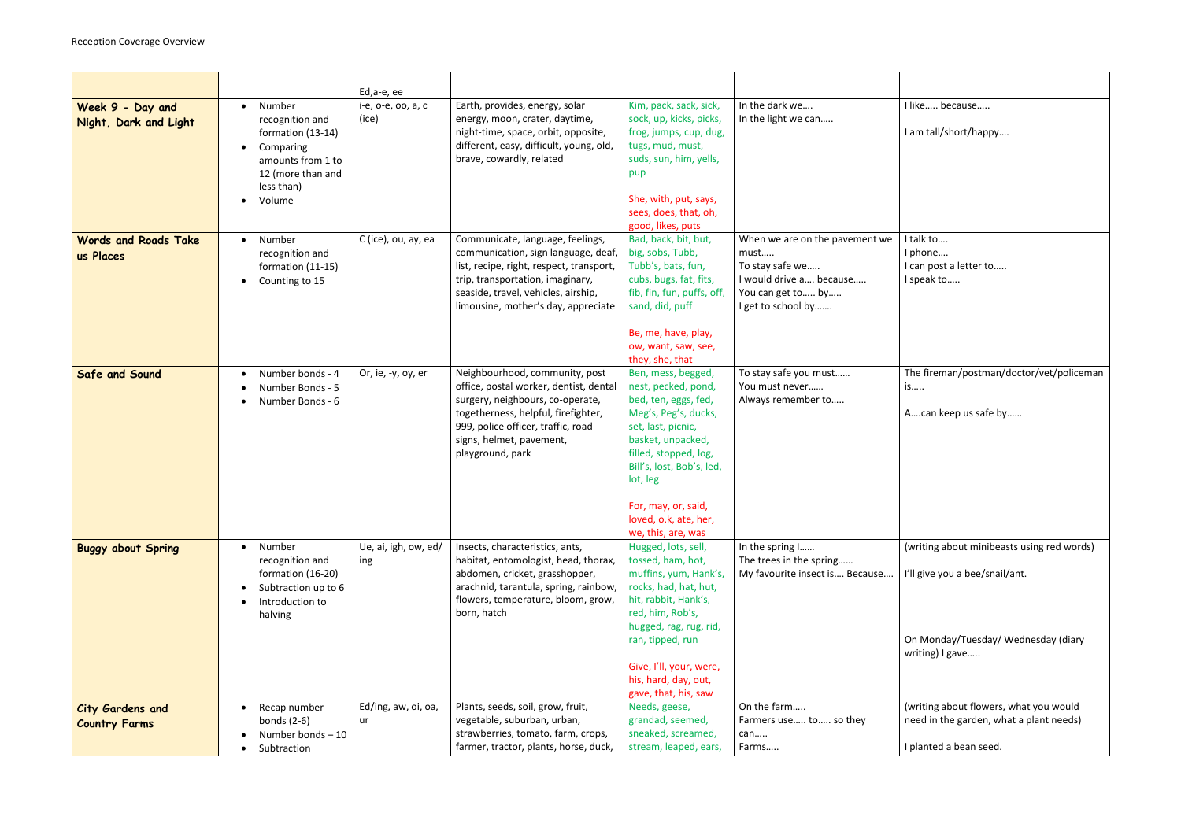|                                                 |                                                                                                                                            | Ed,a-e, ee                  |                                                                                                                                                                                                                                           |                                                                                                                                                                                                                                                                              |                                                                                                                                 |
|-------------------------------------------------|--------------------------------------------------------------------------------------------------------------------------------------------|-----------------------------|-------------------------------------------------------------------------------------------------------------------------------------------------------------------------------------------------------------------------------------------|------------------------------------------------------------------------------------------------------------------------------------------------------------------------------------------------------------------------------------------------------------------------------|---------------------------------------------------------------------------------------------------------------------------------|
| Week 9 - Day and<br>Night, Dark and Light       | Number<br>$\bullet$<br>recognition and<br>formation (13-14)<br>Comparing<br>amounts from 1 to<br>12 (more than and<br>less than)<br>Volume | i-e, o-e, oo, a, c<br>(ice) | Earth, provides, energy, solar<br>energy, moon, crater, daytime,<br>night-time, space, orbit, opposite,<br>different, easy, difficult, young, old,<br>brave, cowardly, related                                                            | Kim, pack, sack, sick,<br>sock, up, kicks, picks,<br>frog, jumps, cup, dug,<br>tugs, mud, must,<br>suds, sun, him, yells,<br>pup<br>She, with, put, says,<br>sees, does, that, oh,<br>good, likes, puts                                                                      | In the dark we<br>In the light we can                                                                                           |
| <b>Words and Roads Take</b><br>us Places        | Number<br>recognition and<br>formation (11-15)<br>Counting to 15                                                                           | C (ice), ou, ay, ea         | Communicate, language, feelings,<br>communication, sign language, deaf,<br>list, recipe, right, respect, transport,<br>trip, transportation, imaginary,<br>seaside, travel, vehicles, airship,<br>limousine, mother's day, appreciate     | Bad, back, bit, but,<br>big, sobs, Tubb,<br>Tubb's, bats, fun,<br>cubs, bugs, fat, fits,<br>fib, fin, fun, puffs, off,<br>sand, did, puff<br>Be, me, have, play,<br>ow, want, saw, see,<br>they, she, that                                                                   | When we are on the pavement we<br>must<br>To stay safe we<br>I would drive a because<br>You can get to by<br>I get to school by |
| <b>Safe and Sound</b>                           | Number bonds - 4<br>Number Bonds - 5<br>Number Bonds - 6                                                                                   | Or, ie, -y, oy, er          | Neighbourhood, community, post<br>office, postal worker, dentist, dental<br>surgery, neighbours, co-operate,<br>togetherness, helpful, firefighter,<br>999, police officer, traffic, road<br>signs, helmet, pavement,<br>playground, park | Ben, mess, begged,<br>nest, pecked, pond,<br>bed, ten, eggs, fed,<br>Meg's, Peg's, ducks,<br>set, last, picnic,<br>basket, unpacked,<br>filled, stopped, log,<br>Bill's, lost, Bob's, led,<br>lot, leg<br>For, may, or, said,<br>loved, o.k, ate, her,<br>we, this, are, was | To stay safe you must<br>You must never<br>Always remember to                                                                   |
| <b>Buggy about Spring</b>                       | Number<br>recognition and<br>formation (16-20)<br>Subtraction up to 6<br>Introduction to<br>halving                                        | Ue, ai, igh, ow, ed/<br>ing | Insects, characteristics, ants,<br>habitat, entomologist, head, thorax,<br>abdomen, cricket, grasshopper,<br>arachnid, tarantula, spring, rainbow,<br>flowers, temperature, bloom, grow,<br>born, hatch                                   | Hugged, lots, sell,<br>tossed, ham, hot,<br>muffins, yum, Hank's,<br>rocks, had, hat, hut,<br>hit, rabbit, Hank's,<br>red, him, Rob's,<br>hugged, rag, rug, rid,<br>ran, tipped, run<br>Give, I'll, your, were,<br>his, hard, day, out,<br>gave, that, his, saw              | In the spring I<br>The trees in the spring<br>My favourite insect is Because                                                    |
| <b>City Gardens and</b><br><b>Country Farms</b> | Recap number<br>bonds $(2-6)$<br>Number bonds-10<br>Subtraction                                                                            | Ed/ing, aw, oi, oa,<br>ur   | Plants, seeds, soil, grow, fruit,<br>vegetable, suburban, urban,<br>strawberries, tomato, farm, crops,<br>farmer, tractor, plants, horse, duck,                                                                                           | Needs, geese,<br>grandad, seemed,<br>sneaked, screamed,<br>stream, leaped, ears,                                                                                                                                                                                             | On the farm<br>Farmers use to so they<br>can<br>Farms                                                                           |

|   | I like because                                                                    |
|---|-----------------------------------------------------------------------------------|
|   | I am tall/short/happy                                                             |
| e | I talk to                                                                         |
|   | I phone<br>I can post a letter to<br>I speak to                                   |
|   |                                                                                   |
|   | The fireman/postman/doctor/vet/policeman<br>is                                    |
|   | Acan keep us safe by                                                              |
|   |                                                                                   |
|   | (writing about minibeasts using red words)                                        |
|   | I'll give you a bee/snail/ant.                                                    |
|   | On Monday/Tuesday/Wednesday (diary<br>writing) I gave                             |
|   | (writing about flowers, what you would<br>need in the garden, what a plant needs) |
|   | I planted a bean seed.                                                            |
|   |                                                                                   |